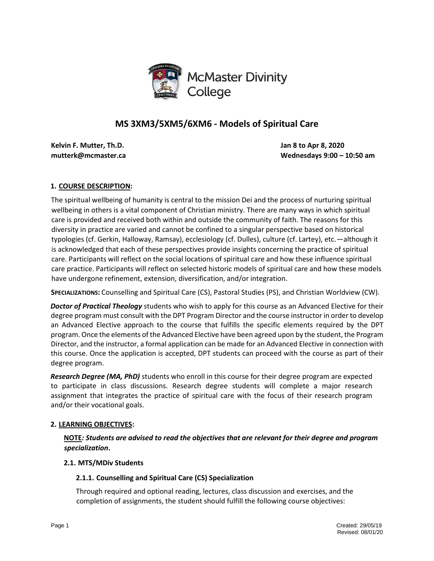

# **MS 3XM3/5XM5/6XM6 - Models of Spiritual Care**

**Kelvin F. Mutter, Th.D. Jan 8 to Apr 8, 2020**

**mutterk@mcmaster.ca Wednesdays 9:00 – 10:50 am** 

## **1. COURSE DESCRIPTION:**

The spiritual wellbeing of humanity is central to the mission Dei and the process of nurturing spiritual wellbeing in others is a vital component of Christian ministry. There are many ways in which spiritual care is provided and received both within and outside the community of faith. The reasons for this diversity in practice are varied and cannot be confined to a singular perspective based on historical typologies (cf. Gerkin, Halloway, Ramsay), ecclesiology (cf. Dulles), culture (cf. Lartey), etc.—although it is acknowledged that each of these perspectives provide insights concerning the practice of spiritual care. Participants will reflect on the social locations of spiritual care and how these influence spiritual care practice. Participants will reflect on selected historic models of spiritual care and how these models have undergone refinement, extension, diversification, and/or integration.

**SPECIALIZATIONS:** Counselling and Spiritual Care (CS), Pastoral Studies (PS), and Christian Worldview (CW).

*Doctor of Practical Theology* students who wish to apply for this course as an Advanced Elective for their degree program must consult with the DPT Program Director and the course instructor in order to develop an Advanced Elective approach to the course that fulfills the specific elements required by the DPT program. Once the elements of the Advanced Elective have been agreed upon by the student, the Program Director, and the instructor, a formal application can be made for an Advanced Elective in connection with this course. Once the application is accepted, DPT students can proceed with the course as part of their degree program.

*Research Degree (MA, PhD)* students who enroll in this course for their degree program are expected to participate in class discussions. Research degree students will complete a major research assignment that integrates the practice of spiritual care with the focus of their research program and/or their vocational goals.

## **2. LEARNING OBJECTIVES:**

**NOTE***: Students are advised to read the objectives that are relevant for their degree and program specialization***.** 

## **2.1. MTS/MDiv Students**

## **2.1.1. Counselling and Spiritual Care (CS) Specialization**

Through required and optional reading, lectures, class discussion and exercises, and the completion of assignments, the student should fulfill the following course objectives: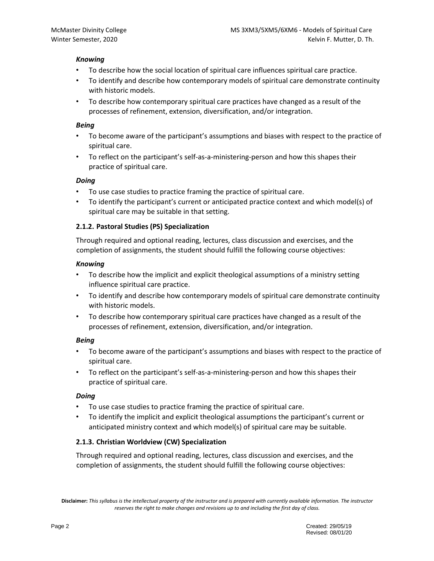### *Knowing*

- To describe how the social location of spiritual care influences spiritual care practice.
- To identify and describe how contemporary models of spiritual care demonstrate continuity with historic models.
- To describe how contemporary spiritual care practices have changed as a result of the processes of refinement, extension, diversification, and/or integration.

### *Being*

- To become aware of the participant's assumptions and biases with respect to the practice of spiritual care.
- To reflect on the participant's self-as-a-ministering-person and how this shapes their practice of spiritual care.

### *Doing*

- To use case studies to practice framing the practice of spiritual care.
- To identify the participant's current or anticipated practice context and which model(s) of spiritual care may be suitable in that setting.

## **2.1.2. Pastoral Studies (PS) Specialization**

Through required and optional reading, lectures, class discussion and exercises, and the completion of assignments, the student should fulfill the following course objectives:

#### *Knowing*

- To describe how the implicit and explicit theological assumptions of a ministry setting influence spiritual care practice.
- To identify and describe how contemporary models of spiritual care demonstrate continuity with historic models.
- To describe how contemporary spiritual care practices have changed as a result of the processes of refinement, extension, diversification, and/or integration.

## *Being*

- To become aware of the participant's assumptions and biases with respect to the practice of spiritual care.
- To reflect on the participant's self-as-a-ministering-person and how this shapes their practice of spiritual care.

## *Doing*

- To use case studies to practice framing the practice of spiritual care.
- To identify the implicit and explicit theological assumptions the participant's current or anticipated ministry context and which model(s) of spiritual care may be suitable.

## **2.1.3. Christian Worldview (CW) Specialization**

Through required and optional reading, lectures, class discussion and exercises, and the completion of assignments, the student should fulfill the following course objectives:

**Disclaimer:** *This syllabus is the intellectual property of the instructor and is prepared with currently available information. The instructor reserves the right to make changes and revisions up to and including the first day of class.*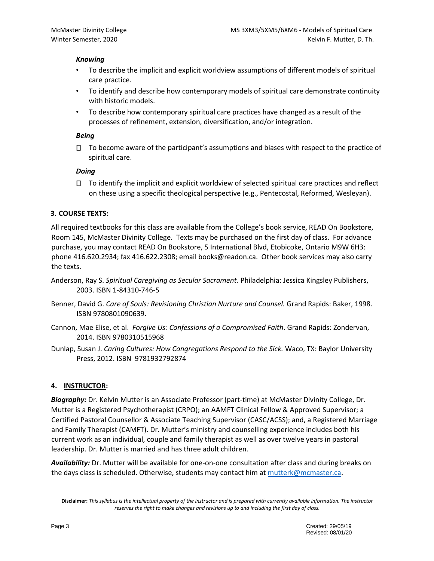### *Knowing*

- To describe the implicit and explicit worldview assumptions of different models of spiritual care practice.
- To identify and describe how contemporary models of spiritual care demonstrate continuity with historic models.
- To describe how contemporary spiritual care practices have changed as a result of the processes of refinement, extension, diversification, and/or integration.

### *Being*

 $\Box$  To become aware of the participant's assumptions and biases with respect to the practice of spiritual care.

### *Doing*

 $\Box$  To identify the implicit and explicit worldview of selected spiritual care practices and reflect on these using a specific theological perspective (e.g., Pentecostal, Reformed, Wesleyan).

## **3. COURSE TEXTS:**

All required textbooks for this class are available from the College's book service, READ On Bookstore, Room 145, McMaster Divinity College. Texts may be purchased on the first day of class. For advance purchase, you may contact READ On Bookstore, 5 International Blvd, Etobicoke, Ontario M9W 6H3: phone 416.620.2934; fax 416.622.2308; email books@readon.ca. Other book services may also carry the texts.

- Anderson, Ray S. *Spiritual Caregiving as Secular Sacrament.* Philadelphia: Jessica Kingsley Publishers, 2003. ISBN 1-84310-746-5
- Benner, David G. *Care of Souls: Revisioning Christian Nurture and Counsel.* Grand Rapids: Baker, 1998. ISBN 9780801090639.
- Cannon, Mae Elise, et al. *Forgive Us: Confessions of a Compromised Faith*. Grand Rapids: Zondervan, 2014. ISBN 9780310515968
- Dunlap, Susan J. *Caring Cultures: How Congregations Respond to the Sick.* Waco, TX: Baylor University Press, 2012. ISBN 9781932792874

## **4. INSTRUCTOR:**

*Biography:* Dr. Kelvin Mutter is an Associate Professor (part-time) at McMaster Divinity College, Dr. Mutter is a Registered Psychotherapist (CRPO); an AAMFT Clinical Fellow & Approved Supervisor; a Certified Pastoral Counsellor & Associate Teaching Supervisor (CASC/ACSS); and, a Registered Marriage and Family Therapist (CAMFT). Dr. Mutter's ministry and counselling experience includes both his current work as an individual, couple and family therapist as well as over twelve years in pastoral leadership. Dr. Mutter is married and has three adult children.

*Availability:* Dr. Mutter will be available for one-on-one consultation after class and during breaks on the days class is scheduled. Otherwise, students may contact him a[t mutterk@mcmaster.ca.](mailto:mutterk@mcmaster.ca)

**Disclaimer:** *This syllabus is the intellectual property of the instructor and is prepared with currently available information. The instructor reserves the right to make changes and revisions up to and including the first day of class.*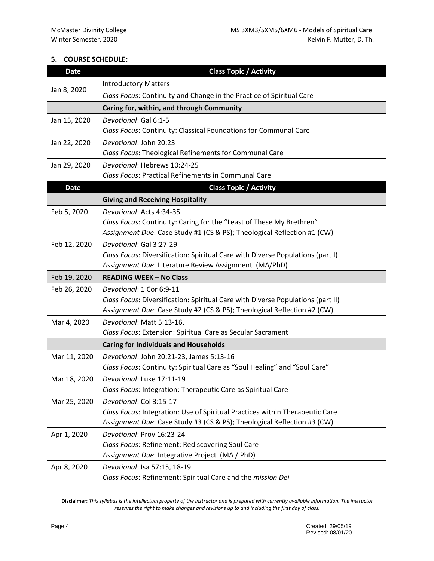## **5. COURSE SCHEDULE:**

| <b>Date</b>  | <b>Class Topic / Activity</b>                                                                             |  |  |
|--------------|-----------------------------------------------------------------------------------------------------------|--|--|
|              | <b>Introductory Matters</b>                                                                               |  |  |
| Jan 8, 2020  | Class Focus: Continuity and Change in the Practice of Spiritual Care                                      |  |  |
|              | Caring for, within, and through Community                                                                 |  |  |
| Jan 15, 2020 | Devotional: Gal 6:1-5                                                                                     |  |  |
|              | Class Focus: Continuity: Classical Foundations for Communal Care                                          |  |  |
| Jan 22, 2020 | Devotional: John 20:23                                                                                    |  |  |
|              | Class Focus: Theological Refinements for Communal Care                                                    |  |  |
| Jan 29, 2020 | Devotional: Hebrews 10:24-25                                                                              |  |  |
|              | Class Focus: Practical Refinements in Communal Care                                                       |  |  |
| <b>Date</b>  | <b>Class Topic / Activity</b>                                                                             |  |  |
|              | <b>Giving and Receiving Hospitality</b>                                                                   |  |  |
| Feb 5, 2020  | Devotional: Acts 4:34-35                                                                                  |  |  |
|              | Class Focus: Continuity: Caring for the "Least of These My Brethren"                                      |  |  |
|              | Assignment Due: Case Study #1 (CS & PS); Theological Reflection #1 (CW)                                   |  |  |
| Feb 12, 2020 | Devotional: Gal 3:27-29<br>Class Focus: Diversification: Spiritual Care with Diverse Populations (part I) |  |  |
|              | Assignment Due: Literature Review Assignment (MA/PhD)                                                     |  |  |
| Feb 19, 2020 | <b>READING WEEK - No Class</b>                                                                            |  |  |
| Feb 26, 2020 | Devotional: 1 Cor 6:9-11                                                                                  |  |  |
|              | Class Focus: Diversification: Spiritual Care with Diverse Populations (part II)                           |  |  |
|              | Assignment Due: Case Study #2 (CS & PS); Theological Reflection #2 (CW)                                   |  |  |
| Mar 4, 2020  | Devotional: Matt 5:13-16,                                                                                 |  |  |
|              | Class Focus: Extension: Spiritual Care as Secular Sacrament                                               |  |  |
|              | <b>Caring for Individuals and Households</b>                                                              |  |  |
| Mar 11, 2020 | Devotional: John 20:21-23, James 5:13-16                                                                  |  |  |
|              | Class Focus: Continuity: Spiritual Care as "Soul Healing" and "Soul Care"                                 |  |  |
| Mar 18, 2020 | Devotional: Luke 17:11-19                                                                                 |  |  |
|              | Class Focus: Integration: Therapeutic Care as Spiritual Care                                              |  |  |
| Mar 25, 2020 | Devotional: Col 3:15-17                                                                                   |  |  |
|              | Class Focus: Integration: Use of Spiritual Practices within Therapeutic Care                              |  |  |
|              | Assignment Due: Case Study #3 (CS & PS); Theological Reflection #3 (CW)                                   |  |  |
| Apr 1, 2020  | Devotional: Prov 16:23-24                                                                                 |  |  |
|              | Class Focus: Refinement: Rediscovering Soul Care<br>Assignment Due: Integrative Project (MA / PhD)        |  |  |
| Apr 8, 2020  | Devotional: Isa 57:15, 18-19                                                                              |  |  |
|              | Class Focus: Refinement: Spiritual Care and the mission Dei                                               |  |  |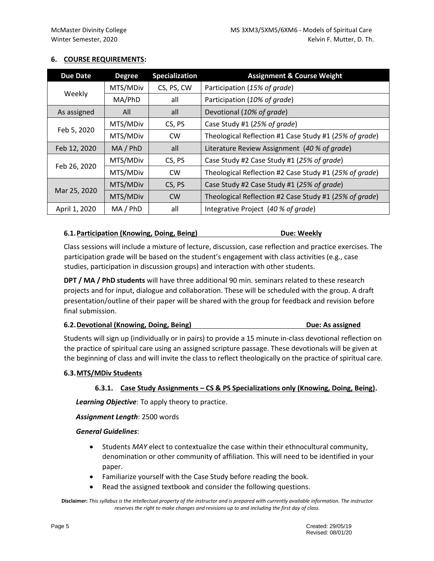## **6. COURSE REQUIREMENTS:**

| <b>Due Date</b> | <b>Degree</b> | <b>Specialization</b> | <b>Assignment &amp; Course Weight</b>                  |  |
|-----------------|---------------|-----------------------|--------------------------------------------------------|--|
| Weekly          | MTS/MDiv      | CS, PS, CW            | Participation (15% of grade)                           |  |
|                 | MA/PhD        | all                   | Participation (10% of grade)                           |  |
| As assigned     | All           | all                   | Devotional (10% of grade)                              |  |
| Feb 5, 2020     | MTS/MDiv      | CS, PS                | Case Study #1 (25% of grade)                           |  |
|                 | MTS/MDiv      | <b>CW</b>             | Theological Reflection #1 Case Study #1 (25% of grade) |  |
| Feb 12, 2020    | MA / PhD      | all                   | Literature Review Assignment (40 % of grade)           |  |
| Feb 26, 2020    | MTS/MDiv      | CS, PS                | Case Study #2 Case Study #1 (25% of grade)             |  |
|                 | MTS/MDiv      | <b>CW</b>             | Theological Reflection #2 Case Study #1 (25% of grade) |  |
| Mar 25, 2020    | MTS/MDiv      | CS, PS                | Case Study #2 Case Study #1 (25% of grade)             |  |
|                 | MTS/MDiv      | <b>CW</b>             | Theological Reflection #2 Case Study #1 (25% of grade) |  |
| April 1, 2020   | MA / PhD      | all                   | Integrative Project (40 % of grade)                    |  |

## **6.1. Participation (Knowing, Doing, Being)** Due: Weekly

Class sessions will include a mixture of lecture, discussion, case reflection and practice exercises. The participation grade will be based on the student's engagement with class activities (e.g., case studies, participation in discussion groups) and interaction with other students.

**DPT / MA / PhD students** will have three additional 90 min. seminars related to these research projects and for input, dialogue and collaboration. These will be scheduled with the group. A draft presentation/outline of their paper will be shared with the group for feedback and revision before final submission.

| 6.2. Devotional (Knowing, Doing, Being) | <b>Due: As assigned</b> |
|-----------------------------------------|-------------------------|
|-----------------------------------------|-------------------------|

Students will sign up (individually or in pairs) to provide a 15 minute in-class devotional reflection on the practice of spiritual care using an assigned scripture passage. These devotionals will be given at the beginning of class and will invite the class to reflect theologically on the practice of spiritual care.

## **6.3.MTS/MDiv Students**

## **6.3.1. Case Study Assignments – CS & PS Specializations only (Knowing, Doing, Being).**

*Learning Objective*: To apply theory to practice.

*Assignment Length*: 2500 words

#### *General Guidelines*:

- Students *MAY* elect to contextualize the case within their ethnocultural community, denomination or other community of affiliation. This will need to be identified in your paper.
- Familiarize yourself with the Case Study before reading the book.
- Read the assigned textbook and consider the following questions.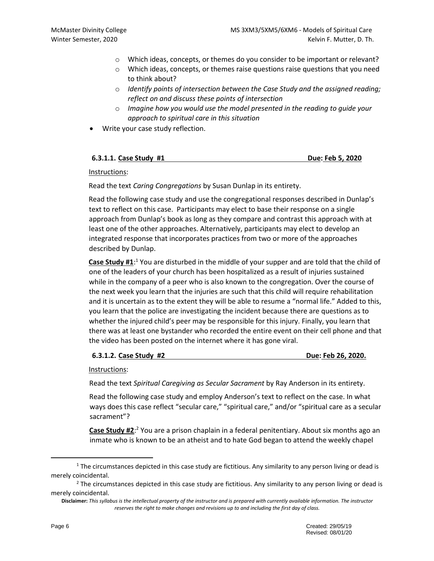- o Which ideas, concepts, or themes do you consider to be important or relevant?
- o Which ideas, concepts, or themes raise questions raise questions that you need to think about?
- o *Identify points of intersection between the Case Study and the assigned reading; reflect on and discuss these points of intersection*
- o *Imagine how you would use the model presented in the reading to guide your approach to spiritual care in this situation*
- Write your case study reflection.

| Due: Feb 5, 2020<br>6.3.1.1. Case Study #1 |
|--------------------------------------------|
|--------------------------------------------|

### Instructions:

Read the text *Caring Congregations* by Susan Dunlap in its entirety.

Read the following case study and use the congregational responses described in Dunlap's text to reflect on this case. Participants may elect to base their response on a single approach from Dunlap's book as long as they compare and contrast this approach with at least one of the other approaches. Alternatively, participants may elect to develop an integrated response that incorporates practices from two or more of the approaches described by Dunlap.

Case Study #1:<sup>1</sup> You are disturbed in the middle of your supper and are told that the child of one of the leaders of your church has been hospitalized as a result of injuries sustained while in the company of a peer who is also known to the congregation. Over the course of the next week you learn that the injuries are such that this child will require rehabilitation and it is uncertain as to the extent they will be able to resume a "normal life." Added to this, you learn that the police are investigating the incident because there are questions as to whether the injured child's peer may be responsible for this injury. Finally, you learn that there was at least one bystander who recorded the entire event on their cell phone and that the video has been posted on the internet where it has gone viral.

#### **6.3.1.2. Case Study #2 Due: Feb 26, 2020.**

Instructions:

Read the text *Spiritual Caregiving as Secular Sacrament* by Ray Anderson in its entirety.

Read the following case study and employ Anderson's text to reflect on the case. In what ways does this case reflect "secular care," "spiritual care," and/or "spiritual care as a secular sacrament"?

**Case Study #2**: <sup>2</sup> You are a prison chaplain in a federal penitentiary. About six months ago an inmate who is known to be an atheist and to hate God began to attend the weekly chapel

<sup>&</sup>lt;sup>1</sup> The circumstances depicted in this case study are fictitious. Any similarity to any person living or dead is merely coincidental.

 $<sup>2</sup>$  The circumstances depicted in this case study are fictitious. Any similarity to any person living or dead is</sup> merely coincidental.

**Disclaimer:** *This syllabus is the intellectual property of the instructor and is prepared with currently available information. The instructor reserves the right to make changes and revisions up to and including the first day of class.*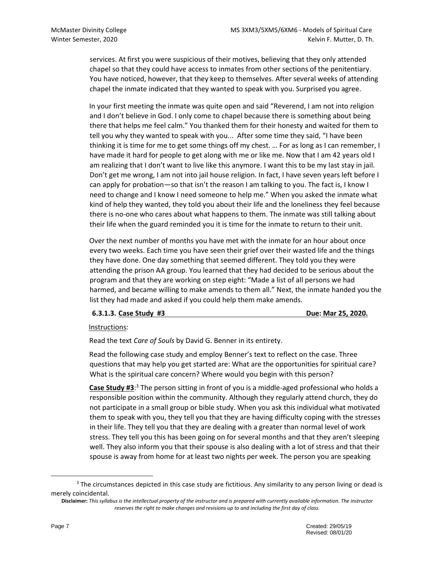services. At first you were suspicious of their motives, believing that they only attended chapel so that they could have access to inmates from other sections of the penitentiary. You have noticed, however, that they keep to themselves. After several weeks of attending chapel the inmate indicated that they wanted to speak with you. Surprised you agree.

In your first meeting the inmate was quite open and said "Reverend, I am not into religion and I don't believe in God. I only come to chapel because there is something about being there that helps me feel calm." You thanked them for their honesty and waited for them to tell you why they wanted to speak with you... After some time they said, "I have been thinking it is time for me to get some things off my chest. … For as long as I can remember, I have made it hard for people to get along with me or like me. Now that I am 42 years old I am realizing that I don't want to live like this anymore. I want this to be my last stay in jail. Don't get me wrong, I am not into jail house religion. In fact, I have seven years left before I can apply for probation—so that isn't the reason I am talking to you. The fact is, I know I need to change and I know I need someone to help me." When you asked the inmate what kind of help they wanted, they told you about their life and the loneliness they feel because there is no-one who cares about what happens to them. The inmate was still talking about their life when the guard reminded you it is time for the inmate to return to their unit.

Over the next number of months you have met with the inmate for an hour about once every two weeks. Each time you have seen their grief over their wasted life and the things they have done. One day something that seemed different. They told you they were attending the prison AA group. You learned that they had decided to be serious about the program and that they are working on step eight: "Made a list of all persons we had harmed, and became willing to make amends to them all." Next, the inmate handed you the list they had made and asked if you could help them make amends.

## **6.3.1.3. Case Study #3 Due: Mar 25, 2020.**

#### Instructions:

Read the text *Care of Souls* by David G. Benner in its entirety.

Read the following case study and employ Benner's text to reflect on the case. Three questions that may help you get started are: What are the opportunities for spiritual care? What is the spiritual care concern? Where would you begin with this person?

**Case Study #3**: <sup>3</sup> The person sitting in front of you is a middle-aged professional who holds a responsible position within the community. Although they regularly attend church, they do not participate in a small group or bible study. When you ask this individual what motivated them to speak with you, they tell you that they are having difficulty coping with the stresses in their life. They tell you that they are dealing with a greater than normal level of work stress. They tell you this has been going on for several months and that they aren't sleeping well. They also inform you that their spouse is also dealing with a lot of stress and that their spouse is away from home for at least two nights per week. The person you are speaking

<sup>&</sup>lt;sup>3</sup> The circumstances depicted in this case study are fictitious. Any similarity to any person living or dead is merely coincidental.

**Disclaimer:** *This syllabus is the intellectual property of the instructor and is prepared with currently available information. The instructor reserves the right to make changes and revisions up to and including the first day of class.*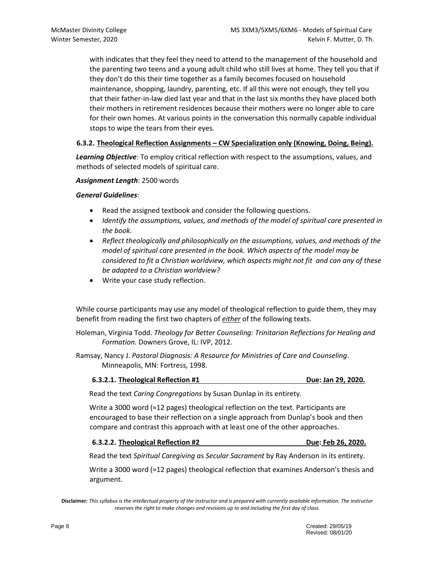with indicates that they feel they need to attend to the management of the household and the parenting two teens and a young adult child who still lives at home. They tell you that if they don't do this their time together as a family becomes focused on household maintenance, shopping, laundry, parenting, etc. If all this were not enough, they tell you that their father-in-law died last year and that in the last six months they have placed both their mothers in retirement residences because their mothers were no longer able to care for their own homes. At various points in the conversation this normally capable individual stops to wipe the tears from their eyes.

## **6.3.2. Theological Reflection Assignments – CW Specialization only (Knowing, Doing, Being).**

*Learning Objective*: To employ critical reflection with respect to the assumptions, values, and methods of selected models of spiritual care.

*Assignment Length*: 2500 words

### *General Guidelines*:

- Read the assigned textbook and consider the following questions.
- *Identify the assumptions, values, and methods of the model of spiritual care presented in the book.*
- *Reflect theologically and philosophically on the assumptions, values, and methods of the model of spiritual care presented in the book. Which aspects of the model may be considered to fit a Christian worldview, which aspects might not fit and can any of these be adapted to a Christian worldview?*
- Write your case study reflection.

While course participants may use any model of theological reflection to guide them, they may benefit from reading the first two chapters of *either* of the following texts.

Holeman, Virginia Todd. *Theology for Better Counseling: Trinitarian Reflections for Healing and Formation.* Downers Grove, IL: IVP, 2012.

Ramsay, Nancy J. *Pastoral Diagnosis: A Resource for Ministries of Care and Counseling*. Minneapolis, MN: Fortress, 1998.

#### **6.3.2.1. Theological Reflection #1 Due: Jan 29, 2020.**

Read the text *Caring Congregations* by Susan Dunlap in its entirety.

Write a 3000 word (≈12 pages) theological reflection on the text. Participants are encouraged to base their reflection on a single approach from Dunlap's book and then compare and contrast this approach with at least one of the other approaches.

#### **6.3.2.2. Theological Reflection #2 Due: Feb 26, 2020.**

Read the text *Spiritual Caregiving as Secular Sacrament* by Ray Anderson in its entirety.

Write a 3000 word (≈12 pages) theological reflection that examines Anderson's thesis and argument.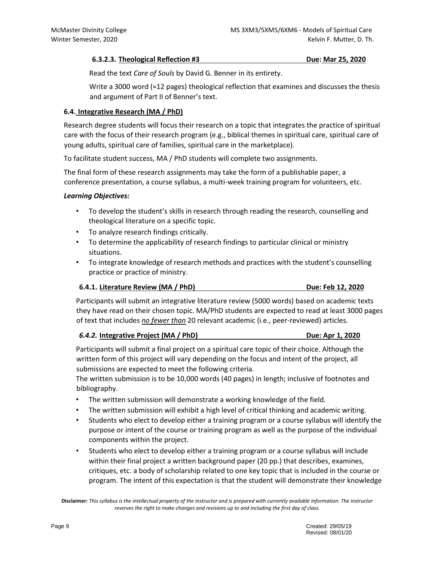#### **6.3.2.3. Theological Reflection #3 Due: Mar 25, 2020**

Read the text *Care of Souls* by David G. Benner in its entirety.

Write a 3000 word ( $\approx$ 12 pages) theological reflection that examines and discusses the thesis and argument of Part II of Benner's text.

### **6.4. Integrative Research (MA / PhD)**

Research degree students will focus their research on a topic that integrates the practice of spiritual care with the focus of their research program (e.g., biblical themes in spiritual care, spiritual care of young adults, spiritual care of families, spiritual care in the marketplace).

To facilitate student success, MA / PhD students will complete two assignments.

The final form of these research assignments may take the form of a publishable paper, a conference presentation, a course syllabus, a multi-week training program for volunteers, etc.

### *Learning Objectives:*

- To develop the student's skills in research through reading the research, counselling and theological literature on a specific topic.
- To analyze research findings critically.
- To determine the applicability of research findings to particular clinical or ministry situations.
- To integrate knowledge of research methods and practices with the student's counselling practice or practice of ministry.

#### **6.4.1. Literature Review (MA / PhD) Due: Feb 12, 2020**

Participants will submit an integrative literature review (5000 words) based on academic texts they have read on their chosen topic. MA/PhD students are expected to read at least 3000 pages of text that includes *no fewer than* 20 relevant academic (i.e., peer-reviewed) articles.

#### *6.4.2.* **Integrative Project (MA / PhD) Due: Apr 1, 2020**

Participants will submit a final project on a spiritual care topic of their choice. Although the written form of this project will vary depending on the focus and intent of the project, all submissions are expected to meet the following criteria.

The written submission is to be 10,000 words (40 pages) in length; inclusive of footnotes and bibliography.

- The written submission will demonstrate a working knowledge of the field.
- The written submission will exhibit a high level of critical thinking and academic writing.
- Students who elect to develop either a training program or a course syllabus will identify the purpose or intent of the course or training program as well as the purpose of the individual components within the project.
- Students who elect to develop either a training program or a course syllabus will include within their final project a written background paper (20 pp.) that describes, examines, critiques, etc. a body of scholarship related to one key topic that is included in the course or program. The intent of this expectation is that the student will demonstrate their knowledge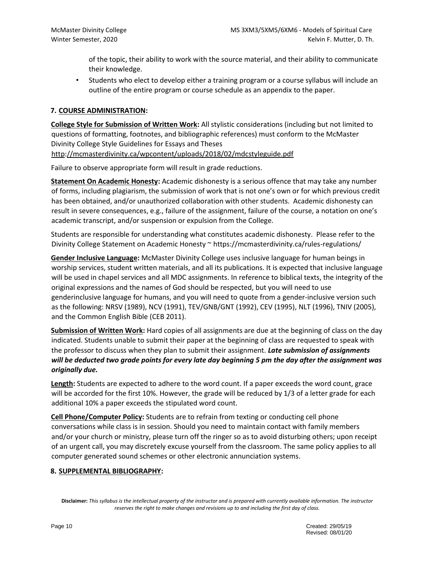of the topic, their ability to work with the source material, and their ability to communicate their knowledge.

• Students who elect to develop either a training program or a course syllabus will include an outline of the entire program or course schedule as an appendix to the paper.

## **7. COURSE ADMINISTRATION:**

**College Style for Submission of Written Work:** All stylistic considerations (including but not limited to questions of formatting, footnotes, and bibliographic references) must conform to the McMaster Divinity College Style Guidelines for Essays and Theses http://mcmasterdivinity.ca/wpcontent/uploads/2018/02/mdcstyleguide.pdf

Failure to observe appropriate form will result in grade reductions.

**Statement On Academic Honesty:** Academic dishonesty is a serious offence that may take any number of forms, including plagiarism, the submission of work that is not one's own or for which previous credit has been obtained, and/or unauthorized collaboration with other students. Academic dishonesty can result in severe consequences, e.g., failure of the assignment, failure of the course, a notation on one's academic transcript, and/or suspension or expulsion from the College.

Students are responsible for understanding what constitutes academic dishonesty. Please refer to the Divinity College Statement on Academic Honesty ~ https://mcmasterdivinity.ca/rules-regulations/

**Gender Inclusive Language:** McMaster Divinity College uses inclusive language for human beings in worship services, student written materials, and all its publications. It is expected that inclusive language will be used in chapel services and all MDC assignments. In reference to biblical texts, the integrity of the original expressions and the names of God should be respected, but you will need to use genderinclusive language for humans, and you will need to quote from a gender-inclusive version such as the following: NRSV (1989), NCV (1991), TEV/GNB/GNT (1992), CEV (1995), NLT (1996), TNIV (2005), and the Common English Bible (CEB 2011).

**Submission of Written Work:** Hard copies of all assignments are due at the beginning of class on the day indicated. Students unable to submit their paper at the beginning of class are requested to speak with the professor to discuss when they plan to submit their assignment. *Late submission of assignments will be deducted two grade points for every late day beginning 5 pm the day after the assignment was originally due.* 

**Length:** Students are expected to adhere to the word count. If a paper exceeds the word count, grace will be accorded for the first 10%. However, the grade will be reduced by 1/3 of a letter grade for each additional 10% a paper exceeds the stipulated word count.

**Cell Phone/Computer Policy:** Students are to refrain from texting or conducting cell phone conversations while class is in session. Should you need to maintain contact with family members and/or your church or ministry, please turn off the ringer so as to avoid disturbing others; upon receipt of an urgent call, you may discretely excuse yourself from the classroom. The same policy applies to all computer generated sound schemes or other electronic annunciation systems.

## **8. SUPPLEMENTAL BIBLIOGRAPHY:**

**Disclaimer:** *This syllabus is the intellectual property of the instructor and is prepared with currently available information. The instructor reserves the right to make changes and revisions up to and including the first day of class.*